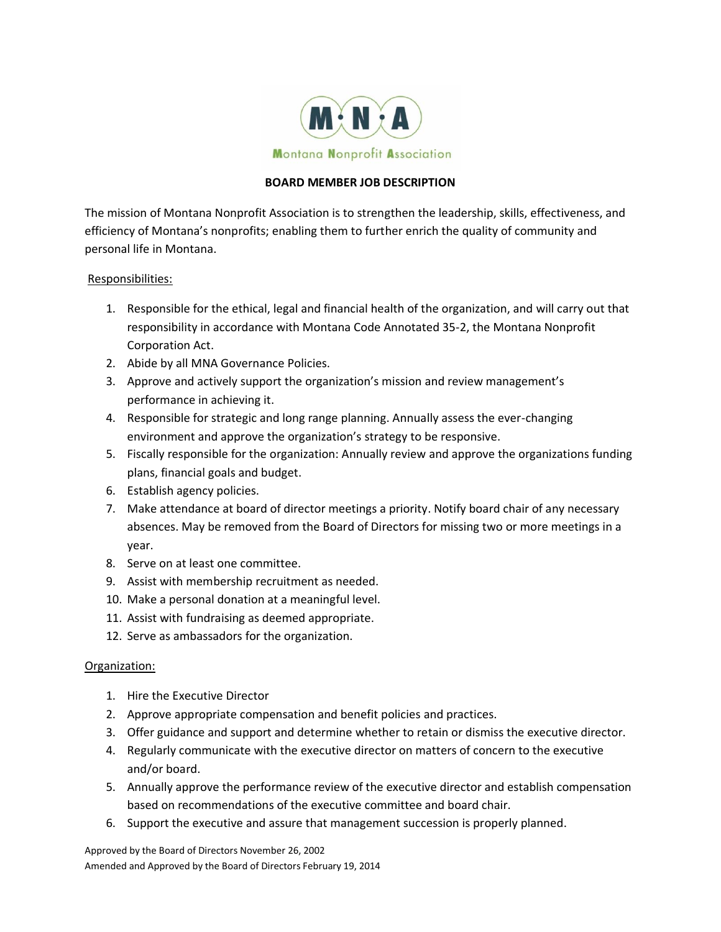

#### **BOARD MEMBER JOB DESCRIPTION**

The mission of Montana Nonprofit Association is to strengthen the leadership, skills, effectiveness, and efficiency of Montana's nonprofits; enabling them to further enrich the quality of community and personal life in Montana.

#### Responsibilities:

- 1. Responsible for the ethical, legal and financial health of the organization, and will carry out that responsibility in accordance with Montana Code Annotated 35-2, the Montana Nonprofit Corporation Act.
- 2. Abide by all MNA Governance Policies.
- 3. Approve and actively support the organization's mission and review management's performance in achieving it.
- 4. Responsible for strategic and long range planning. Annually assess the ever-changing environment and approve the organization's strategy to be responsive.
- 5. Fiscally responsible for the organization: Annually review and approve the organizations funding plans, financial goals and budget.
- 6. Establish agency policies.
- 7. Make attendance at board of director meetings a priority. Notify board chair of any necessary absences. May be removed from the Board of Directors for missing two or more meetings in a year.
- 8. Serve on at least one committee.
- 9. Assist with membership recruitment as needed.
- 10. Make a personal donation at a meaningful level.
- 11. Assist with fundraising as deemed appropriate.
- 12. Serve as ambassadors for the organization.

### Organization:

- 1. Hire the Executive Director
- 2. Approve appropriate compensation and benefit policies and practices.
- 3. Offer guidance and support and determine whether to retain or dismiss the executive director.
- 4. Regularly communicate with the executive director on matters of concern to the executive and/or board.
- 5. Annually approve the performance review of the executive director and establish compensation based on recommendations of the executive committee and board chair.
- 6. Support the executive and assure that management succession is properly planned.

Approved by the Board of Directors November 26, 2002 Amended and Approved by the Board of Directors February 19, 2014